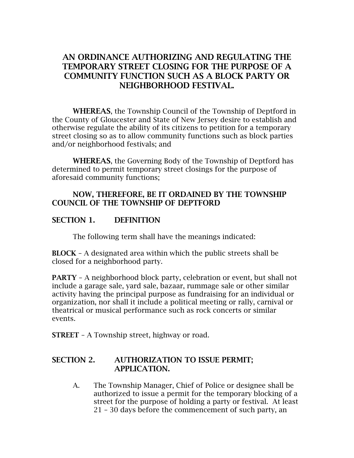# AN ORDINANCE AUTHORIZING AND REGULATING THE TEMPORARY STREET CLOSING FOR THE PURPOSE OF A COMMUNITY FUNCTION SUCH AS A BLOCK PARTY OR NEIGHBORHOOD FESTIVAL.

WHEREAS, the Township Council of the Township of Deptford in the County of Gloucester and State of New Jersey desire to establish and otherwise regulate the ability of its citizens to petition for a temporary street closing so as to allow community functions such as block parties and/or neighborhood festivals; and

WHEREAS, the Governing Body of the Township of Deptford has determined to permit temporary street closings for the purpose of aforesaid community functions;

### NOW, THEREFORE, BE IT ORDAINED BY THE TOWNSHIP COUNCIL OF THE TOWNSHIP OF DEPTFORD

## SECTION 1. DEFINITION

The following term shall have the meanings indicated:

BLOCK – A designated area within which the public streets shall be closed for a neighborhood party.

PARTY – A neighborhood block party, celebration or event, but shall not include a garage sale, yard sale, bazaar, rummage sale or other similar activity having the principal purpose as fundraising for an individual or organization, nor shall it include a political meeting or rally, carnival or theatrical or musical performance such as rock concerts or similar events.

STREET – A Township street, highway or road.

## SECTION 2. AUTHORIZATION TO ISSUE PERMIT; APPLICATION.

A. The Township Manager, Chief of Police or designee shall be authorized to issue a permit for the temporary blocking of a street for the purpose of holding a party or festival. At least 21 – 30 days before the commencement of such party, an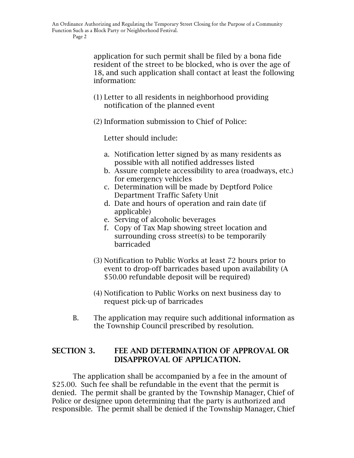Page 2

application for such permit shall be filed by a bona fide resident of the street to be blocked, who is over the age of 18, and such application shall contact at least the following information:

(1) Letter to all residents in neighborhood providing notification of the planned event

(2) Information submission to Chief of Police:

Letter should include:

- a. Notification letter signed by as many residents as possible with all notified addresses listed
- b. Assure complete accessibility to area (roadways, etc.) for emergency vehicles
- c. Determination will be made by Deptford Police Department Traffic Safety Unit
- d. Date and hours of operation and rain date (if applicable)
- e. Serving of alcoholic beverages
- f. Copy of Tax Map showing street location and surrounding cross street(s) to be temporarily barricaded
- (3) Notification to Public Works at least 72 hours prior to event to drop-off barricades based upon availability (A \$50.00 refundable deposit will be required)
- (4) Notification to Public Works on next business day to request pick-up of barricades
- B. The application may require such additional information as the Township Council prescribed by resolution.

## SECTION 3. FEE AND DETERMINATION OF APPROVAL OR DISAPPROVAL OF APPLICATION.

The application shall be accompanied by a fee in the amount of \$25.00. Such fee shall be refundable in the event that the permit is denied. The permit shall be granted by the Township Manager, Chief of Police or designee upon determining that the party is authorized and responsible. The permit shall be denied if the Township Manager, Chief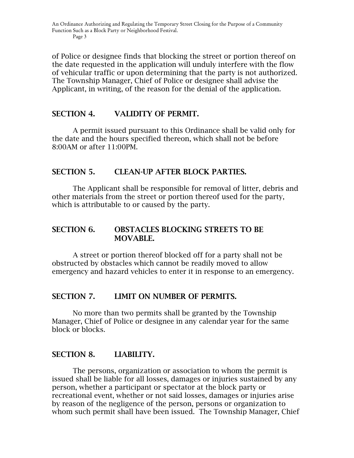of Police or designee finds that blocking the street or portion thereof on the date requested in the application will unduly interfere with the flow of vehicular traffic or upon determining that the party is not authorized. The Township Manager, Chief of Police or designee shall advise the Applicant, in writing, of the reason for the denial of the application.

#### SECTION 4. VALIDITY OF PERMIT.

A permit issued pursuant to this Ordinance shall be valid only for the date and the hours specified thereon, which shall not be before 8:00AM or after 11:00PM.

## SECTION 5. CLEAN-UP AFTER BLOCK PARTIES.

The Applicant shall be responsible for removal of litter, debris and other materials from the street or portion thereof used for the party, which is attributable to or caused by the party.

#### SECTION 6. OBSTACLES BLOCKING STREETS TO BE MOVABLE.

A street or portion thereof blocked off for a party shall not be obstructed by obstacles which cannot be readily moved to allow emergency and hazard vehicles to enter it in response to an emergency.

#### SECTION 7. LIMIT ON NUMBER OF PERMITS.

No more than two permits shall be granted by the Township Manager, Chief of Police or designee in any calendar year for the same block or blocks.

## SECTION 8. LIABILITY.

The persons, organization or association to whom the permit is issued shall be liable for all losses, damages or injuries sustained by any person, whether a participant or spectator at the block party or recreational event, whether or not said losses, damages or injuries arise by reason of the negligence of the person, persons or organization to whom such permit shall have been issued. The Township Manager, Chief